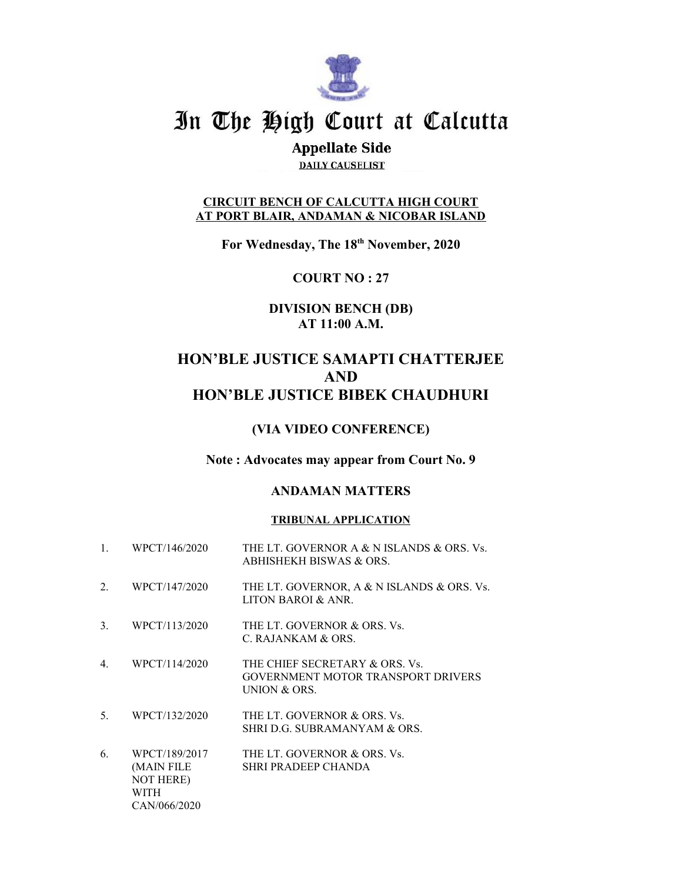

# In The High Court at Calcutta

# **Appellate Side**

**DAILY CAUSELIST** 

### **CIRCUIT BENCH OF CALCUTTA HIGH COURT AT PORT BLAIR, ANDAMAN & NICOBAR ISLAND**

**For Wednesday, The 18th November, 2020**

**COURT NO : 27**

# **DIVISION BENCH (DB) AT 11:00 A.M.**

# **HON'BLE JUSTICE SAMAPTI CHATTERJEE AND HON'BLE JUSTICE BIBEK CHAUDHURI**

## **(VIA VIDEO CONFERENCE)**

### **Note : Advocates may appear from Court No. 9**

### **ANDAMAN MATTERS**

### **TRIBUNAL APPLICATION**

| 1. | WPCT/146/2020                                                           | THE LT. GOVERNOR A & N ISLANDS & ORS. Vs.<br>ABHISHEKH BISWAS & ORS.                 |
|----|-------------------------------------------------------------------------|--------------------------------------------------------------------------------------|
| 2. | WPCT/147/2020                                                           | THE LT. GOVERNOR, A & N ISLANDS & ORS. Vs.<br>LITON BAROI & ANR.                     |
| 3. | WPCT/113/2020                                                           | THE LT. GOVERNOR & ORS. Vs.<br>C. RAJANKAM & ORS.                                    |
| 4. | WPCT/114/2020                                                           | THE CHIEF SECRETARY & ORS. Vs.<br>GOVERNMENT MOTOR TRANSPORT DRIVERS<br>UNION & ORS. |
| 5. | WPCT/132/2020                                                           | THE LT. GOVERNOR & ORS. Vs.<br>SHRI D.G. SUBRAMANYAM & ORS.                          |
| 6. | WPCT/189/2017<br>(MAIN FILE<br><b>NOT HERE)</b><br>WITH<br>CAN/066/2020 | THE LT. GOVERNOR & ORS. Vs.<br>SHRI PRADEEP CHANDA                                   |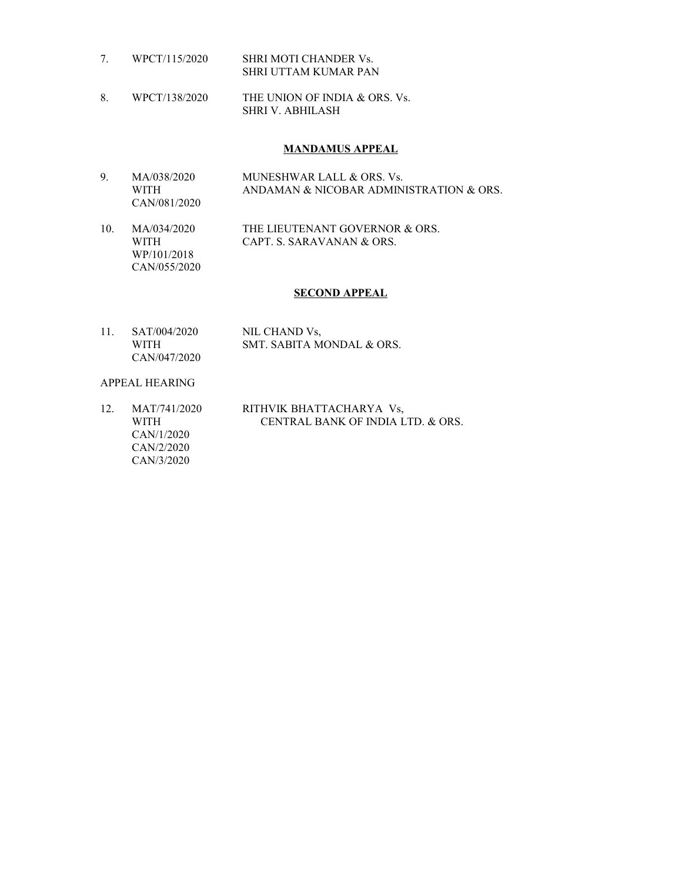- 7. WPCT/115/2020 SHRI MOTI CHANDER Vs. SHRI UTTAM KUMAR PAN
- 8. WPCT/138/2020 THE UNION OF INDIA & ORS. Vs. SHRI V. ABHILASH

#### **MANDAMUS APPEAL**

- 9. MA/038/2020 MUNESHWAR LALL & ORS. Vs. WITH ANDAMAN & NICOBAR ADMINISTRATION & ORS. CAN/081/2020
- 10. MA/034/2020 THE LIEUTENANT GOVERNOR & ORS. WITH CAPT. S. SARAVANAN & ORS. WP/101/2018 CAN/055/2020

### **SECOND APPEAL**

11. SAT/004/2020 NIL CHAND Vs, WITH SMT. SABITA MONDAL & ORS. CAN/047/2020

#### APPEAL HEARING

12. MAT/741/2020 RITHVIK BHATTACHARYA Vs, WITH CENTRAL BANK OF INDIA LTD. & ORS. CAN/1/2020 CAN/2/2020 CAN/3/2020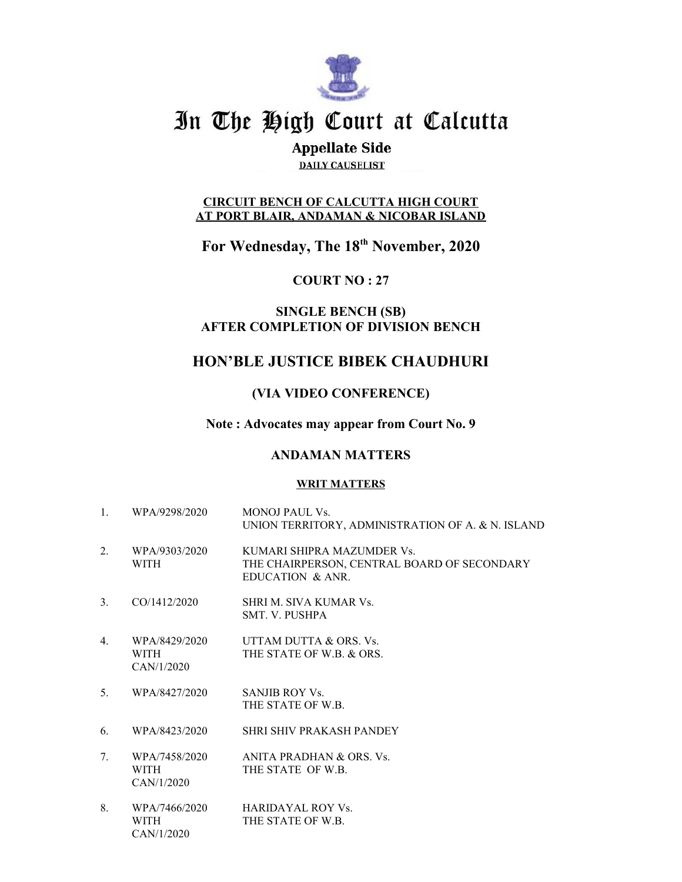

# In The High Court at Calcutta

# **Appellate Side**

**DAILY CAUSELIST** 

### **CIRCUIT BENCH OF CALCUTTA HIGH COURT AT PORT BLAIR, ANDAMAN & NICOBAR ISLAND**

**For Wednesday, The 18th November, 2020**

**COURT NO : 27**

### **SINGLE BENCH (SB) AFTER COMPLETION OF DIVISION BENCH**

# **HON'BLE JUSTICE BIBEK CHAUDHURI**

## **(VIA VIDEO CONFERENCE)**

### **Note : Advocates may appear from Court No. 9**

### **ANDAMAN MATTERS**

### **WRIT MATTERS**

1. WPA/9298/2020 MONOJ PAUL Vs. UNION TERRITORY, ADMINISTRATION OF A. & N. ISLAND 2. WPA/9303/2020 KUMARI SHIPRA MAZUMDER Vs. WITH THE CHAIRPERSON, CENTRAL BOARD OF SECONDARY EDUCATION & ANR. 3. CO/1412/2020 SHRI M. SIVA KUMAR Vs. SMT. V. PUSHPA 4. WPA/8429/2020 UTTAM DUTTA & ORS. Vs. WITH THE STATE OF W.B. & ORS. CAN/1/2020 5. WPA/8427/2020 SANJIB ROY Vs. THE STATE OF W.B. 6. WPA/8423/2020 SHRI SHIV PRAKASH PANDEY 7. WPA/7458/2020 ANITA PRADHAN & ORS. Vs. WITH THE STATE OF W.B. CAN/1/2020 8. WPA/7466/2020 HARIDAYAL ROY Vs. WITH THE STATE OF W.B.

CAN/1/2020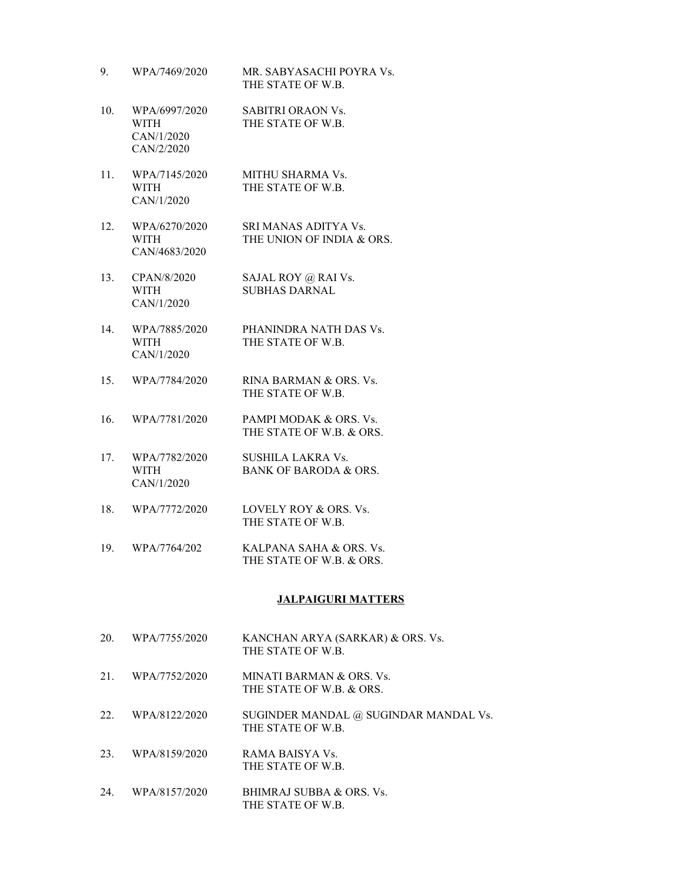9. WPA/7469/2020 MR. SABYASACHI POYRA Vs. THE STATE OF W.B. 10. WPA/6997/2020 SABITRI ORAON Vs. WITH THE STATE OF W.B. CAN/1/2020 CAN/2/2020 11. WPA/7145/2020 MITHU SHARMA Vs. WITH THE STATE OF W.B. CAN/1/2020 12. WPA/6270/2020 SRI MANAS ADITYA Vs. WITH THE UNION OF INDIA & ORS. CAN/4683/2020 13. CPAN/8/2020 SAJAL ROY @ RAI Vs. WITH SUBHAS DARNAL CAN/1/2020 14. WPA/7885/2020 PHANINDRA NATH DAS Vs. WITH THE STATE OF W.B. CAN/1/2020 15. WPA/7784/2020 RINA BARMAN & ORS. Vs. THE STATE OF W.B. 16. WPA/7781/2020 PAMPI MODAK & ORS. Vs. THE STATE OF W.B. & ORS. 17. WPA/7782/2020 SUSHILA LAKRA Vs. WITH BANK OF BARODA & ORS. CAN/1/2020 18. WPA/7772/2020 LOVELY ROY & ORS. Vs. THE STATE OF W.B. 19. WPA/7764/202 KALPANA SAHA & ORS. Vs. THE STATE OF W.B. & ORS.

### **JALPAIGURI MATTERS**

- 20. WPA/7755/2020 KANCHAN ARYA (SARKAR) & ORS. Vs. THE STATE OF W.B.
- 21. WPA/7752/2020 MINATI BARMAN & ORS. Vs. THE STATE OF W.B. & ORS.
- 22. WPA/8122/2020 SUGINDER MANDAL @ SUGINDAR MANDAL Vs. THE STATE OF W.B.
- 23. WPA/8159/2020 RAMA BAISYA Vs. THE STATE OF W.B.
- 24. WPA/8157/2020 BHIMRAJ SUBBA & ORS. Vs. THE STATE OF W.B.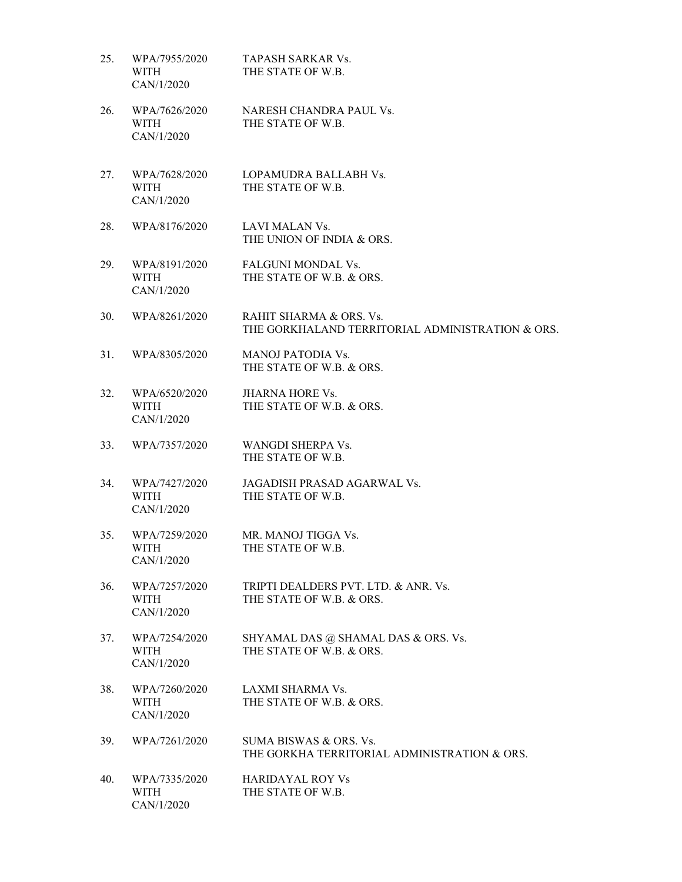| 25. | WPA/7955/2020<br>WITH<br>CAN/1/2020        | TAPASH SARKAR Vs.<br>THE STATE OF W.B.                                      |
|-----|--------------------------------------------|-----------------------------------------------------------------------------|
| 26. | WPA/7626/2020<br>WITH<br>CAN/1/2020        | NARESH CHANDRA PAUL Vs.<br>THE STATE OF W.B.                                |
| 27. | WPA/7628/2020<br>WITH<br>CAN/1/2020        | LOPAMUDRA BALLABH Vs.<br>THE STATE OF W.B.                                  |
| 28. | WPA/8176/2020                              | LAVI MALAN Vs.<br>THE UNION OF INDIA & ORS.                                 |
| 29. | WPA/8191/2020<br><b>WITH</b><br>CAN/1/2020 | <b>FALGUNI MONDAL Vs.</b><br>THE STATE OF W.B. & ORS.                       |
| 30. | WPA/8261/2020                              | RAHIT SHARMA & ORS. Vs.<br>THE GORKHALAND TERRITORIAL ADMINISTRATION & ORS. |
| 31. | WPA/8305/2020                              | <b>MANOJ PATODIA Vs.</b><br>THE STATE OF W.B. & ORS.                        |
| 32. | WPA/6520/2020<br>WITH<br>CAN/1/2020        | <b>JHARNA HORE Vs.</b><br>THE STATE OF W.B. & ORS.                          |
| 33. | WPA/7357/2020                              | WANGDI SHERPA Vs.<br>THE STATE OF W.B.                                      |
| 34. | WPA/7427/2020<br><b>WITH</b><br>CAN/1/2020 | JAGADISH PRASAD AGARWAL Vs.<br>THE STATE OF W.B.                            |
| 35. | WPA/7259/2020<br>WITH<br>CAN/1/2020        | MR. MANOJ TIGGA Vs.<br>THE STATE OF W.B.                                    |
| 36. | WPA/7257/2020<br><b>WITH</b><br>CAN/1/2020 | TRIPTI DEALDERS PVT. LTD. & ANR. Vs.<br>THE STATE OF W.B. & ORS.            |
| 37. | WPA/7254/2020<br>WITH<br>CAN/1/2020        | SHYAMAL DAS @ SHAMAL DAS & ORS. Vs.<br>THE STATE OF W.B. & ORS.             |
| 38. | WPA/7260/2020<br>WITH<br>CAN/1/2020        | LAXMI SHARMA Vs.<br>THE STATE OF W.B. & ORS.                                |
| 39. | WPA/7261/2020                              | SUMA BISWAS & ORS. Vs.<br>THE GORKHA TERRITORIAL ADMINISTRATION & ORS.      |
| 40. | WPA/7335/2020<br>WITH<br>CAN/1/2020        | <b>HARIDAYAL ROY Vs</b><br>THE STATE OF W.B.                                |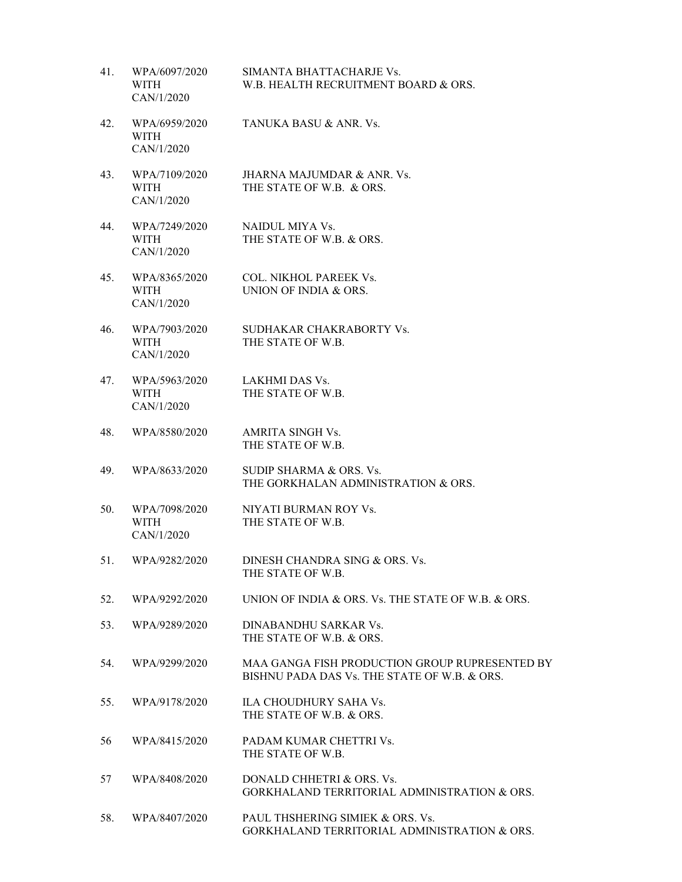| 41. | WPA/6097/2020<br><b>WITH</b><br>CAN/1/2020 | SIMANTA BHATTACHARJE Vs.<br>W.B. HEALTH RECRUITMENT BOARD & ORS.                               |
|-----|--------------------------------------------|------------------------------------------------------------------------------------------------|
| 42. | WPA/6959/2020<br>WITH<br>CAN/1/2020        | TANUKA BASU & ANR. Vs.                                                                         |
| 43. | WPA/7109/2020<br><b>WITH</b><br>CAN/1/2020 | JHARNA MAJUMDAR & ANR. Vs.<br>THE STATE OF W.B. & ORS.                                         |
| 44. | WPA/7249/2020<br><b>WITH</b><br>CAN/1/2020 | NAIDUL MIYA Vs.<br>THE STATE OF W.B. & ORS.                                                    |
| 45. | WPA/8365/2020<br><b>WITH</b><br>CAN/1/2020 | <b>COL. NIKHOL PAREEK Vs.</b><br><b>UNION OF INDIA &amp; ORS.</b>                              |
| 46. | WPA/7903/2020<br><b>WITH</b><br>CAN/1/2020 | SUDHAKAR CHAKRABORTY Vs.<br>THE STATE OF W.B.                                                  |
| 47. | WPA/5963/2020<br><b>WITH</b><br>CAN/1/2020 | LAKHMI DAS Vs.<br>THE STATE OF W.B.                                                            |
| 48. | WPA/8580/2020                              | AMRITA SINGH Vs.<br>THE STATE OF W.B.                                                          |
| 49. | WPA/8633/2020                              | SUDIP SHARMA & ORS. Vs.<br>THE GORKHALAN ADMINISTRATION & ORS.                                 |
| 50. | WPA/7098/2020<br><b>WITH</b><br>CAN/1/2020 | NIYATI BURMAN ROY Vs.<br>THE STATE OF W.B.                                                     |
| 51. | WPA/9282/2020                              | DINESH CHANDRA SING & ORS. Vs.<br>THE STATE OF W.B.                                            |
| 52. | WPA/9292/2020                              | UNION OF INDIA & ORS. Vs. THE STATE OF W.B. & ORS.                                             |
| 53. | WPA/9289/2020                              | DINABANDHU SARKAR Vs.<br>THE STATE OF W.B. & ORS.                                              |
| 54. | WPA/9299/2020                              | MAA GANGA FISH PRODUCTION GROUP RUPRESENTED BY<br>BISHNU PADA DAS Vs. THE STATE OF W.B. & ORS. |
| 55. | WPA/9178/2020                              | ILA CHOUDHURY SAHA Vs.<br>THE STATE OF W.B. & ORS.                                             |
| 56  | WPA/8415/2020                              | PADAM KUMAR CHETTRI Vs.<br>THE STATE OF W.B.                                                   |
| 57  | WPA/8408/2020                              | DONALD CHHETRI & ORS. Vs.<br><b>GORKHALAND TERRITORIAL ADMINISTRATION &amp; ORS.</b>           |
| 58. | WPA/8407/2020                              | PAUL THSHERING SIMIEK & ORS. Vs.<br>GORKHALAND TERRITORIAL ADMINISTRATION & ORS.               |